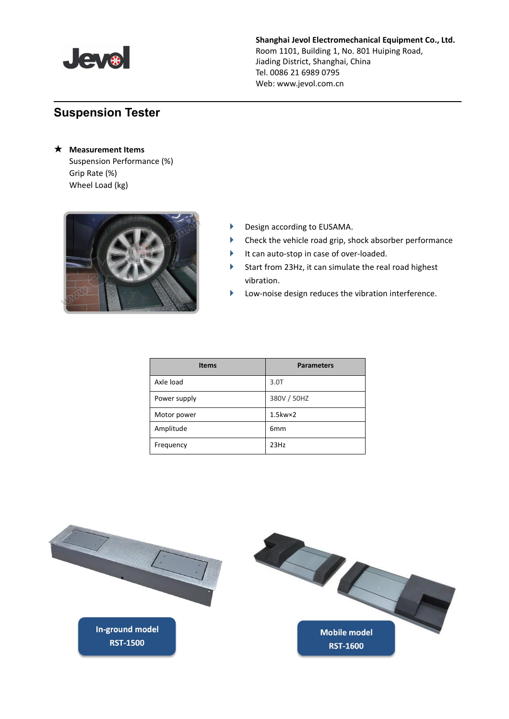

## **Shanghai Jevol Electromechanical Equipment Co., Ltd.**

Room 1101, Building 1, No. 801 Huiping Road, Jiading District, Shanghai, China Tel. 0086 21 6989 0795 Web: www.jevol.com.cn

## **Suspension Tester**

★ **Measurement Items** Suspension Performance (%) Grip Rate (%) Wheel Load (kg)



- Design according to EUSAMA.
- Check the vehicle road grip, shock absorber performance
- It can auto-stop in case of over-loaded.
- Start from 23Hz, it can simulate the real road highest vibration.
- Low-noise design reduces the vibration interference.

| <b>Items</b> | <b>Parameters</b>   |
|--------------|---------------------|
| Axle load    | 3.0T                |
| Power supply | 380V / 50HZ         |
| Motor power  | $1.5$ kw $\times$ 2 |
| Amplitude    | 6 <sub>mm</sub>     |
| Frequency    | 23Hz                |

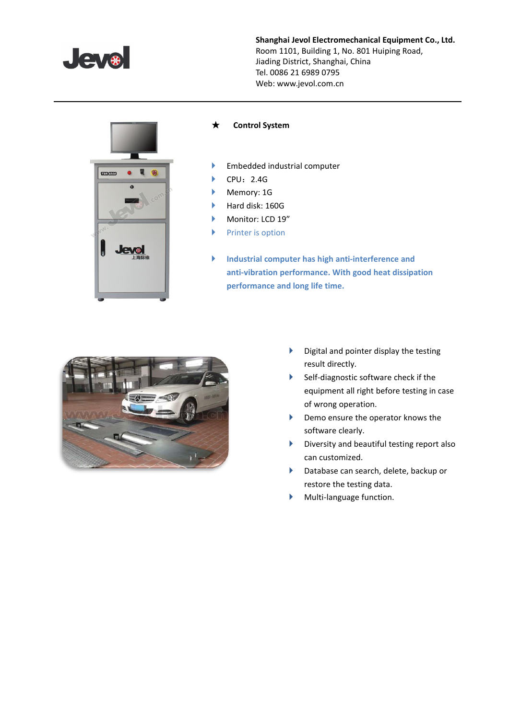

**Shanghai Jevol Electromechanical Equipment Co., Ltd.** Room 1101, Building 1, No. 801 Huiping Road, Jiading District, Shanghai, China Tel. 0086 21 6989 0795 Web: www.jevol.com.cn



## ★ **Control System**

- **Embedded industrial computer**
- $\blacktriangleright$  CPU: 2.4G
- Memory: 1G
- Hard disk: 160G
- Monitor: LCD 19"
- $\blacktriangleright$  Printer is option
- **Industrial computer has high anti-interference and anti-vibration performance. With good heat dissipation performance and long life time.**



- $\blacktriangleright$  Digital and pointer display the testing result directly.
- Self-diagnostic software check if the equipment all right before testing in case of wrong operation.
- Demo ensure the operator knows the software clearly.
- $\blacktriangleright$  Diversity and beautiful testing report also can customized.
- Database can search, delete, backup or restore the testing data.
- Multi-language function.